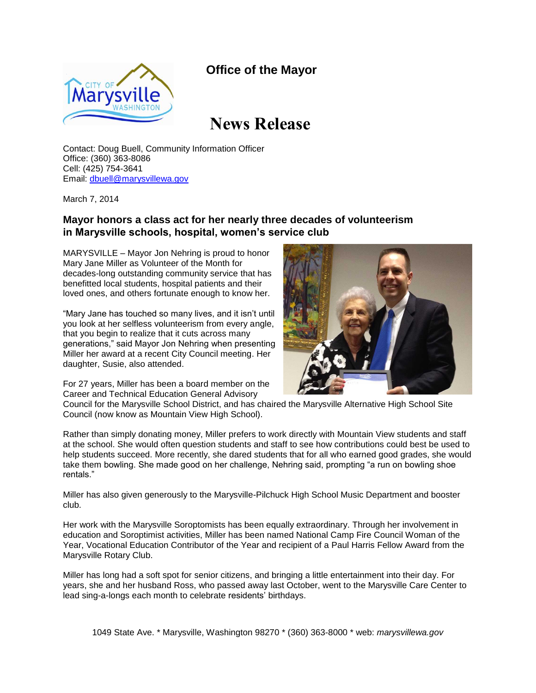## **Office of the Mayor**



## **News Release**

Contact: Doug Buell, Community Information Officer Office: (360) 363-8086 Cell: (425) 754-3641 Email: [dbuell@marysvillewa.gov](mailto:dbuell@marysvillewa.gov)

March 7, 2014

## **Mayor honors a class act for her nearly three decades of volunteerism in Marysville schools, hospital, women's service club**

MARYSVILLE – Mayor Jon Nehring is proud to honor Mary Jane Miller as Volunteer of the Month for decades-long outstanding community service that has benefitted local students, hospital patients and their loved ones, and others fortunate enough to know her.

"Mary Jane has touched so many lives, and it isn't until you look at her selfless volunteerism from every angle, that you begin to realize that it cuts across many generations," said Mayor Jon Nehring when presenting Miller her award at a recent City Council meeting. Her daughter, Susie, also attended.

For 27 years, Miller has been a board member on the Career and Technical Education General Advisory

Council for the Marysville School District, and has chaired the Marysville Alternative High School Site Council (now know as Mountain View High School).

Rather than simply donating money, Miller prefers to work directly with Mountain View students and staff at the school. She would often question students and staff to see how contributions could best be used to help students succeed. More recently, she dared students that for all who earned good grades, she would take them bowling. She made good on her challenge, Nehring said, prompting "a run on bowling shoe rentals."

Miller has also given generously to the Marysville-Pilchuck High School Music Department and booster club.

Her work with the Marysville Soroptomists has been equally extraordinary. Through her involvement in education and Soroptimist activities, Miller has been named National Camp Fire Council Woman of the Year, Vocational Education Contributor of the Year and recipient of a Paul Harris Fellow Award from the Marysville Rotary Club.

Miller has long had a soft spot for senior citizens, and bringing a little entertainment into their day. For years, she and her husband Ross, who passed away last October, went to the Marysville Care Center to lead sing-a-longs each month to celebrate residents' birthdays.